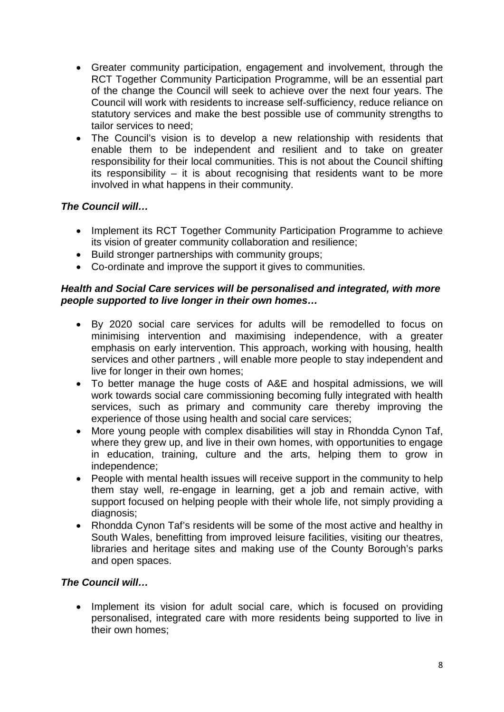- Greater community participation, engagement and involvement, through the RCT Together Community Participation Programme, will be an essential part of the change the Council will seek to achieve over the next four years. The Council will work with residents to increase self-sufficiency, reduce reliance on statutory services and make the best possible use of community strengths to tailor services to need;
- The Council's vision is to develop a new relationship with residents that enable them to be independent and resilient and to take on greater responsibility for their local communities. This is not about the Council shifting its responsibility  $-$  it is about recognising that residents want to be more involved in what happens in their community.

## *The Council will…*

- Implement its RCT Together Community Participation Programme to achieve its vision of greater community collaboration and resilience;
- Build stronger partnerships with community groups;
- Co-ordinate and improve the support it gives to communities.

## *Health and Social Care services will be personalised and integrated, with more people supported to live longer in their own homes…*

- By 2020 social care services for adults will be remodelled to focus on minimising intervention and maximising independence, with a greater emphasis on early intervention. This approach, working with housing, health services and other partners , will enable more people to stay independent and live for longer in their own homes;
- To better manage the huge costs of A&E and hospital admissions, we will work towards social care commissioning becoming fully integrated with health services, such as primary and community care thereby improving the experience of those using health and social care services;
- More young people with complex disabilities will stay in Rhondda Cynon Taf, where they grew up, and live in their own homes, with opportunities to engage in education, training, culture and the arts, helping them to grow in independence;
- People with mental health issues will receive support in the community to help them stay well, re-engage in learning, get a job and remain active, with support focused on helping people with their whole life, not simply providing a diagnosis;
- Rhondda Cynon Taf's residents will be some of the most active and healthy in South Wales, benefitting from improved leisure facilities, visiting our theatres, libraries and heritage sites and making use of the County Borough's parks and open spaces.

## *The Council will…*

• Implement its vision for adult social care, which is focused on providing personalised, integrated care with more residents being supported to live in their own homes;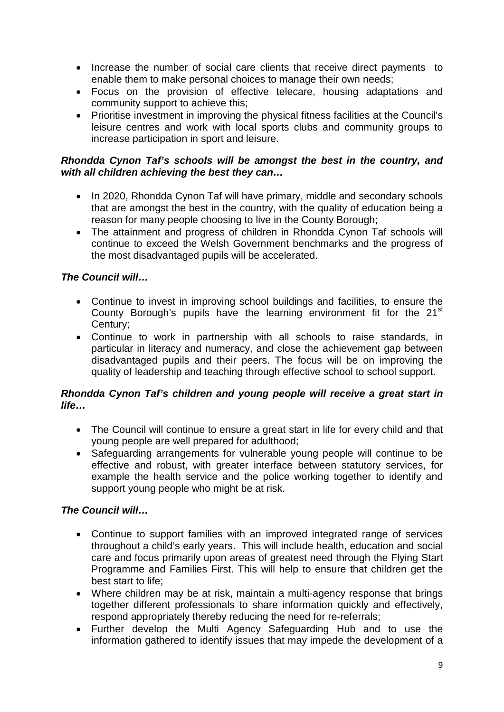- Increase the number of social care clients that receive direct payments to enable them to make personal choices to manage their own needs;
- Focus on the provision of effective telecare, housing adaptations and community support to achieve this;
- Prioritise investment in improving the physical fitness facilities at the Council's leisure centres and work with local sports clubs and community groups to increase participation in sport and leisure.

## *Rhondda Cynon Taf's schools will be amongst the best in the country, and with all children achieving the best they can…*

- In 2020, Rhondda Cynon Taf will have primary, middle and secondary schools that are amongst the best in the country, with the quality of education being a reason for many people choosing to live in the County Borough;
- The attainment and progress of children in Rhondda Cynon Taf schools will continue to exceed the Welsh Government benchmarks and the progress of the most disadvantaged pupils will be accelerated.

# *The Council will…*

- Continue to invest in improving school buildings and facilities, to ensure the County Borough's pupils have the learning environment fit for the 21<sup>st</sup> Century;
- Continue to work in partnership with all schools to raise standards, in particular in literacy and numeracy, and close the achievement gap between disadvantaged pupils and their peers. The focus will be on improving the quality of leadership and teaching through effective school to school support.

## *Rhondda Cynon Taf's children and young people will receive a great start in life…*

- The Council will continue to ensure a great start in life for every child and that young people are well prepared for adulthood;
- Safeguarding arrangements for vulnerable young people will continue to be effective and robust, with greater interface between statutory services, for example the health service and the police working together to identify and support young people who might be at risk.

## *The Council will…*

- Continue to support families with an improved integrated range of services throughout a child's early years. This will include health, education and social care and focus primarily upon areas of greatest need through the Flying Start Programme and Families First. This will help to ensure that children get the best start to life;
- Where children may be at risk, maintain a multi-agency response that brings together different professionals to share information quickly and effectively, respond appropriately thereby reducing the need for re-referrals;
- Further develop the Multi Agency Safeguarding Hub and to use the information gathered to identify issues that may impede the development of a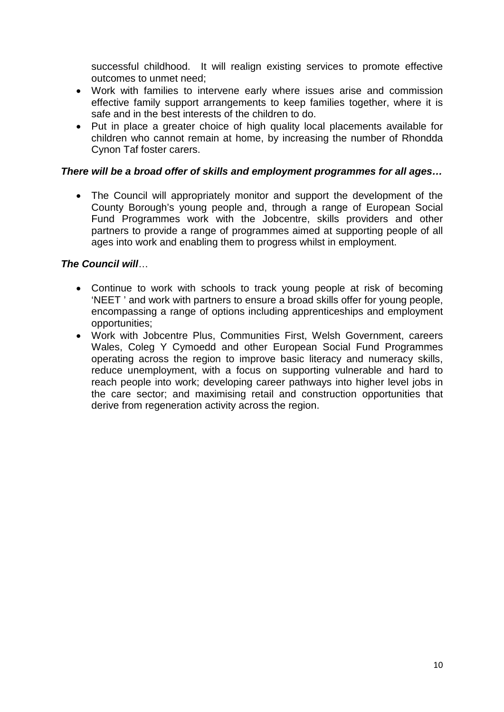successful childhood. It will realign existing services to promote effective outcomes to unmet need;

- Work with families to intervene early where issues arise and commission effective family support arrangements to keep families together, where it is safe and in the best interests of the children to do.
- Put in place a greater choice of high quality local placements available for children who cannot remain at home, by increasing the number of Rhondda Cynon Taf foster carers.

## *There will be a broad offer of skills and employment programmes for all ages…*

• The Council will appropriately monitor and support the development of the County Borough's young people and, through a range of European Social Fund Programmes work with the Jobcentre, skills providers and other partners to provide a range of programmes aimed at supporting people of all ages into work and enabling them to progress whilst in employment.

## *The Council will*…

- Continue to work with schools to track young people at risk of becoming 'NEET ' and work with partners to ensure a broad skills offer for young people, encompassing a range of options including apprenticeships and employment opportunities;
- Work with Jobcentre Plus, Communities First, Welsh Government, careers Wales, Coleg Y Cymoedd and other European Social Fund Programmes operating across the region to improve basic literacy and numeracy skills, reduce unemployment, with a focus on supporting vulnerable and hard to reach people into work; developing career pathways into higher level jobs in the care sector; and maximising retail and construction opportunities that derive from regeneration activity across the region.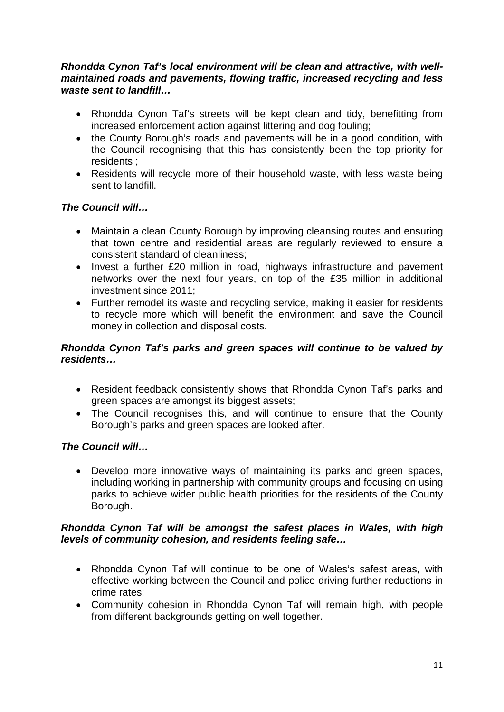## *Rhondda Cynon Taf's local environment will be clean and attractive, with wellmaintained roads and pavements, flowing traffic, increased recycling and less waste sent to landfill…*

- Rhondda Cynon Taf's streets will be kept clean and tidy, benefitting from increased enforcement action against littering and dog fouling;
- the County Borough's roads and pavements will be in a good condition, with the Council recognising that this has consistently been the top priority for residents ;
- Residents will recycle more of their household waste, with less waste being sent to landfill.

# *The Council will…*

- Maintain a clean County Borough by improving cleansing routes and ensuring that town centre and residential areas are regularly reviewed to ensure a consistent standard of cleanliness;
- Invest a further £20 million in road, highways infrastructure and pavement networks over the next four years, on top of the £35 million in additional investment since 2011;
- Further remodel its waste and recycling service, making it easier for residents to recycle more which will benefit the environment and save the Council money in collection and disposal costs.

## *Rhondda Cynon Taf's parks and green spaces will continue to be valued by residents…*

- Resident feedback consistently shows that Rhondda Cynon Taf's parks and green spaces are amongst its biggest assets;
- The Council recognises this, and will continue to ensure that the County Borough's parks and green spaces are looked after.

# *The Council will…*

• Develop more innovative ways of maintaining its parks and green spaces, including working in partnership with community groups and focusing on using parks to achieve wider public health priorities for the residents of the County Borough.

## *Rhondda Cynon Taf will be amongst the safest places in Wales, with high levels of community cohesion, and residents feeling safe…*

- Rhondda Cynon Taf will continue to be one of Wales's safest areas, with effective working between the Council and police driving further reductions in crime rates;
- Community cohesion in Rhondda Cynon Taf will remain high, with people from different backgrounds getting on well together.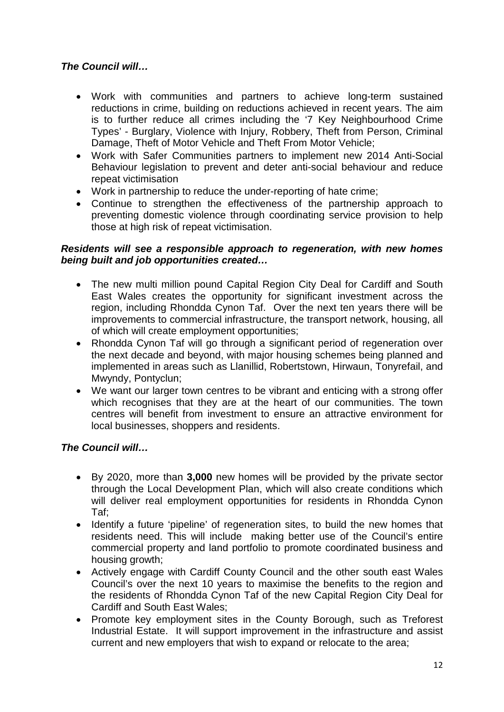# *The Council will…*

- Work with communities and partners to achieve long-term sustained reductions in crime, building on reductions achieved in recent years. The aim is to further reduce all crimes including the '7 Key Neighbourhood Crime Types' - Burglary, Violence with Injury, Robbery, Theft from Person, Criminal Damage, Theft of Motor Vehicle and Theft From Motor Vehicle;
- Work with Safer Communities partners to implement new 2014 Anti-Social Behaviour legislation to prevent and deter anti-social behaviour and reduce repeat victimisation
- Work in partnership to reduce the under-reporting of hate crime;
- Continue to strengthen the effectiveness of the partnership approach to preventing domestic violence through coordinating service provision to help those at high risk of repeat victimisation.

## *Residents will see a responsible approach to regeneration, with new homes being built and job opportunities created…*

- The new multi million pound Capital Region City Deal for Cardiff and South East Wales creates the opportunity for significant investment across the region, including Rhondda Cynon Taf. Over the next ten years there will be improvements to commercial infrastructure, the transport network, housing, all of which will create employment opportunities;
- Rhondda Cynon Taf will go through a significant period of regeneration over the next decade and beyond, with major housing schemes being planned and implemented in areas such as Llanillid, Robertstown, Hirwaun, Tonyrefail, and Mwyndy, Pontyclun;
- We want our larger town centres to be vibrant and enticing with a strong offer which recognises that they are at the heart of our communities. The town centres will benefit from investment to ensure an attractive environment for local businesses, shoppers and residents.

# *The Council will…*

- By 2020, more than **3,000** new homes will be provided by the private sector through the Local Development Plan, which will also create conditions which will deliver real employment opportunities for residents in Rhondda Cynon Taf;
- Identify a future 'pipeline' of regeneration sites, to build the new homes that residents need. This will include making better use of the Council's entire commercial property and land portfolio to promote coordinated business and housing growth:
- Actively engage with Cardiff County Council and the other south east Wales Council's over the next 10 years to maximise the benefits to the region and the residents of Rhondda Cynon Taf of the new Capital Region City Deal for Cardiff and South East Wales;
- Promote key employment sites in the County Borough, such as Treforest Industrial Estate. It will support improvement in the infrastructure and assist current and new employers that wish to expand or relocate to the area;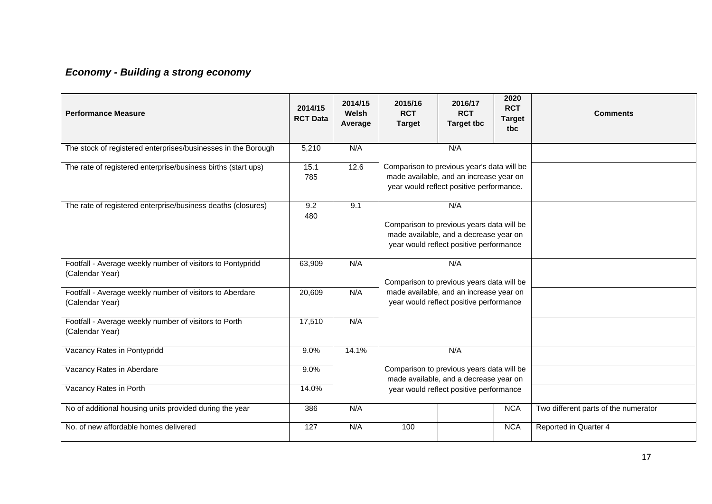# *Economy - Building a strong economy*

| <b>Performance Measure</b>                                                    | 2014/15<br><b>RCT Data</b> | 2014/15<br>Welsh<br>Average | 2015/16<br><b>RCT</b><br><b>Target</b> | 2016/17<br><b>RCT</b><br><b>Target tbc</b>                                                                                            | 2020<br><b>RCT</b><br><b>Target</b><br>tbc | <b>Comments</b>                      |
|-------------------------------------------------------------------------------|----------------------------|-----------------------------|----------------------------------------|---------------------------------------------------------------------------------------------------------------------------------------|--------------------------------------------|--------------------------------------|
| The stock of registered enterprises/businesses in the Borough                 | 5,210                      | N/A                         |                                        | N/A                                                                                                                                   |                                            |                                      |
| The rate of registered enterprise/business births (start ups)                 | 15.1<br>785                | 12.6                        |                                        | Comparison to previous year's data will be<br>made available, and an increase year on<br>year would reflect positive performance.     |                                            |                                      |
| The rate of registered enterprise/business deaths (closures)                  | 9.2<br>480                 | 9.1                         |                                        | N/A<br>Comparison to previous years data will be<br>made available, and a decrease year on<br>year would reflect positive performance |                                            |                                      |
| Footfall - Average weekly number of visitors to Pontypridd<br>(Calendar Year) | 63,909                     | N/A                         |                                        | N/A<br>Comparison to previous years data will be                                                                                      |                                            |                                      |
| Footfall - Average weekly number of visitors to Aberdare<br>(Calendar Year)   | 20,609                     | N/A                         |                                        | made available, and an increase year on<br>year would reflect positive performance                                                    |                                            |                                      |
| Footfall - Average weekly number of visitors to Porth<br>(Calendar Year)      | 17,510                     | N/A                         |                                        |                                                                                                                                       |                                            |                                      |
| Vacancy Rates in Pontypridd                                                   | 9.0%                       | 14.1%                       |                                        | N/A                                                                                                                                   |                                            |                                      |
| Vacancy Rates in Aberdare                                                     | 9.0%                       |                             |                                        | Comparison to previous years data will be<br>made available, and a decrease year on                                                   |                                            |                                      |
| Vacancy Rates in Porth                                                        | 14.0%                      |                             |                                        | year would reflect positive performance                                                                                               |                                            |                                      |
| No of additional housing units provided during the year                       | 386                        | N/A                         |                                        |                                                                                                                                       | <b>NCA</b>                                 | Two different parts of the numerator |
| No. of new affordable homes delivered                                         | 127                        | N/A                         | 100                                    |                                                                                                                                       | <b>NCA</b>                                 | Reported in Quarter 4                |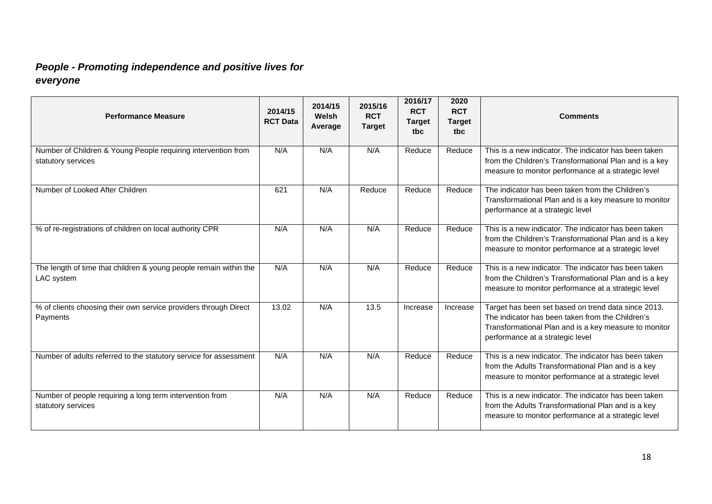# *People - Promoting independence and positive lives for everyone*

| <b>Performance Measure</b>                                                          | 2014/15<br><b>RCT Data</b> | 2014/15<br>Welsh<br>Average | 2015/16<br><b>RCT</b><br><b>Target</b> | 2016/17<br><b>RCT</b><br><b>Target</b><br>tbc | 2020<br><b>RCT</b><br><b>Target</b><br>tbc | <b>Comments</b>                                                                                                                                                                                      |
|-------------------------------------------------------------------------------------|----------------------------|-----------------------------|----------------------------------------|-----------------------------------------------|--------------------------------------------|------------------------------------------------------------------------------------------------------------------------------------------------------------------------------------------------------|
| Number of Children & Young People requiring intervention from<br>statutory services | N/A                        | N/A                         | N/A                                    | Reduce                                        | Reduce                                     | This is a new indicator. The indicator has been taken<br>from the Children's Transformational Plan and is a key<br>measure to monitor performance at a strategic level                               |
| Number of Looked After Children                                                     | 621                        | N/A                         | Reduce                                 | Reduce                                        | Reduce                                     | The indicator has been taken from the Children's<br>Transformational Plan and is a key measure to monitor<br>performance at a strategic level                                                        |
| % of re-registrations of children on local authority CPR                            | N/A                        | N/A                         | N/A                                    | Reduce                                        | Reduce                                     | This is a new indicator. The indicator has been taken<br>from the Children's Transformational Plan and is a key<br>measure to monitor performance at a strategic level                               |
| The length of time that children & young people remain within the<br>LAC system     | N/A                        | N/A                         | N/A                                    | Reduce                                        | Reduce                                     | This is a new indicator. The indicator has been taken<br>from the Children's Transformational Plan and is a key<br>measure to monitor performance at a strategic level                               |
| % of clients choosing their own service providers through Direct<br>Payments        | 13.02                      | N/A                         | 13.5                                   | Increase                                      | Increase                                   | Target has been set based on trend data since 2013.<br>The indicator has been taken from the Children's<br>Transformational Plan and is a key measure to monitor<br>performance at a strategic level |
| Number of adults referred to the statutory service for assessment                   | N/A                        | N/A                         | N/A                                    | Reduce                                        | Reduce                                     | This is a new indicator. The indicator has been taken<br>from the Adults Transformational Plan and is a key<br>measure to monitor performance at a strategic level                                   |
| Number of people requiring a long term intervention from<br>statutory services      | N/A                        | N/A                         | N/A                                    | Reduce                                        | Reduce                                     | This is a new indicator. The indicator has been taken<br>from the Adults Transformational Plan and is a key<br>measure to monitor performance at a strategic level                                   |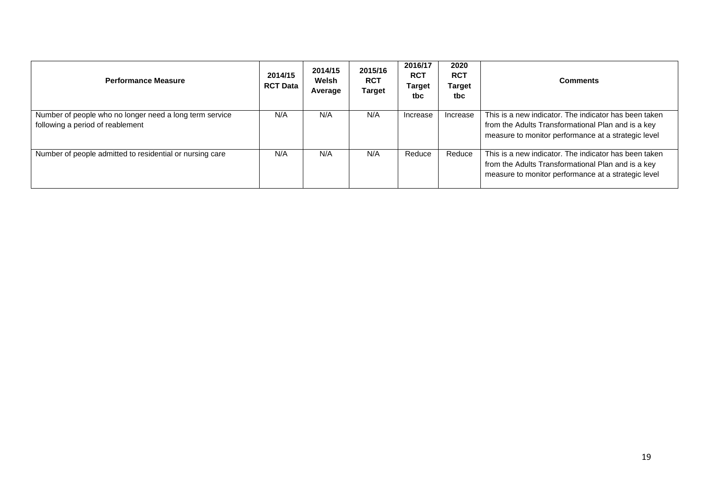| <b>Performance Measure</b>                                                                  | 2014/15<br><b>RCT Data</b> | 2014/15<br>Welsh<br>Average | 2015/16<br><b>RCT</b><br>Target | 2016/17<br><b>RCT</b><br><b>Target</b><br>tbc | 2020<br><b>RCT</b><br><b>Target</b><br>tbc | <b>Comments</b>                                                                                                                                                    |
|---------------------------------------------------------------------------------------------|----------------------------|-----------------------------|---------------------------------|-----------------------------------------------|--------------------------------------------|--------------------------------------------------------------------------------------------------------------------------------------------------------------------|
| Number of people who no longer need a long term service<br>following a period of reablement | N/A                        | N/A                         | N/A                             | Increase                                      | Increase                                   | This is a new indicator. The indicator has been taken<br>from the Adults Transformational Plan and is a key<br>measure to monitor performance at a strategic level |
| Number of people admitted to residential or nursing care                                    | N/A                        | N/A                         | N/A                             | Reduce                                        | Reduce                                     | This is a new indicator. The indicator has been taken<br>from the Adults Transformational Plan and is a key<br>measure to monitor performance at a strategic level |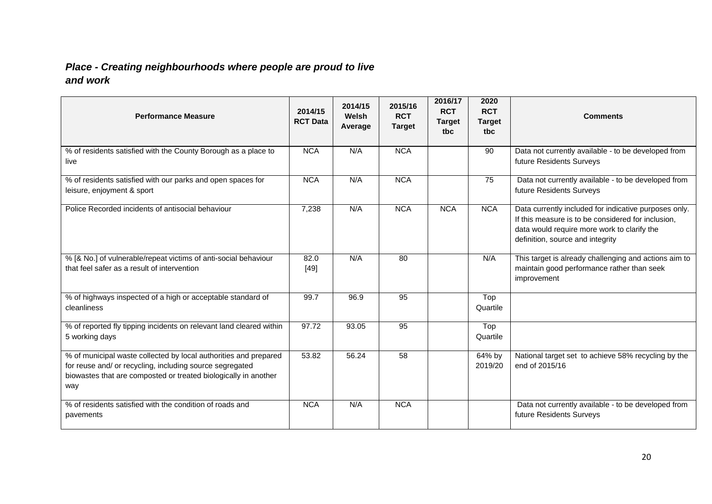## *Place - Creating neighbourhoods where people are proud to live and work*

| <b>Performance Measure</b>                                                                                                                                                                             | 2014/15<br><b>RCT Data</b> | 2014/15<br>Welsh<br>Average | 2015/16<br><b>RCT</b><br><b>Target</b> | 2016/17<br><b>RCT</b><br><b>Target</b><br>tbc | 2020<br><b>RCT</b><br><b>Target</b><br>tbc | <b>Comments</b>                                                                                                                                                                                |
|--------------------------------------------------------------------------------------------------------------------------------------------------------------------------------------------------------|----------------------------|-----------------------------|----------------------------------------|-----------------------------------------------|--------------------------------------------|------------------------------------------------------------------------------------------------------------------------------------------------------------------------------------------------|
| % of residents satisfied with the County Borough as a place to<br>live                                                                                                                                 | <b>NCA</b>                 | N/A                         | <b>NCA</b>                             |                                               | 90                                         | Data not currently available - to be developed from<br>future Residents Surveys                                                                                                                |
| % of residents satisfied with our parks and open spaces for<br>leisure, enjoyment & sport                                                                                                              | <b>NCA</b>                 | N/A                         | <b>NCA</b>                             |                                               | 75                                         | Data not currently available - to be developed from<br>future Residents Surveys                                                                                                                |
| Police Recorded incidents of antisocial behaviour                                                                                                                                                      | 7,238                      | N/A                         | <b>NCA</b>                             | <b>NCA</b>                                    | <b>NCA</b>                                 | Data currently included for indicative purposes only.<br>If this measure is to be considered for inclusion,<br>data would require more work to clarify the<br>definition, source and integrity |
| % [& No.] of vulnerable/repeat victims of anti-social behaviour<br>that feel safer as a result of intervention                                                                                         | 82.0<br>$[49]$             | N/A                         | 80                                     |                                               | N/A                                        | This target is already challenging and actions aim to<br>maintain good performance rather than seek<br>improvement                                                                             |
| % of highways inspected of a high or acceptable standard of<br>cleanliness                                                                                                                             | 99.7                       | 96.9                        | 95                                     |                                               | Top<br>Quartile                            |                                                                                                                                                                                                |
| % of reported fly tipping incidents on relevant land cleared within<br>5 working days                                                                                                                  | 97.72                      | 93.05                       | 95                                     |                                               | Top<br>Quartile                            |                                                                                                                                                                                                |
| % of municipal waste collected by local authorities and prepared<br>for reuse and/ or recycling, including source segregated<br>biowastes that are composted or treated biologically in another<br>way | 53.82                      | 56.24                       | 58                                     |                                               | 64% by<br>2019/20                          | National target set to achieve 58% recycling by the<br>end of 2015/16                                                                                                                          |
| % of residents satisfied with the condition of roads and<br>pavements                                                                                                                                  | <b>NCA</b>                 | N/A                         | <b>NCA</b>                             |                                               |                                            | Data not currently available - to be developed from<br>future Residents Surveys                                                                                                                |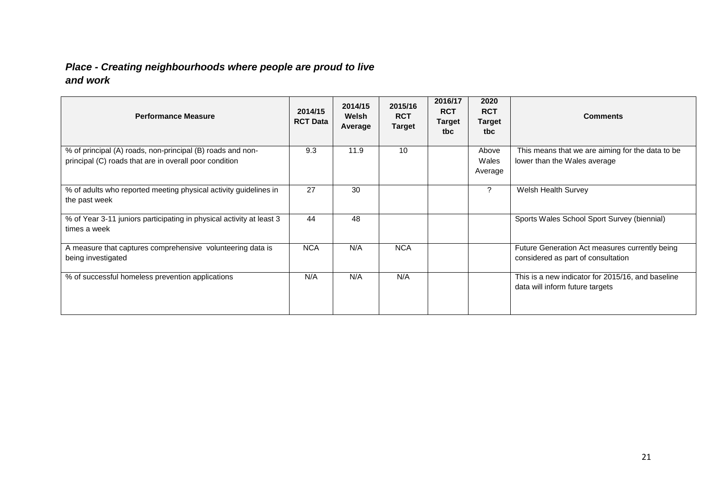# *Place - Creating neighbourhoods where people are proud to live and work*

| <b>Performance Measure</b>                                                                                           | 2014/15<br><b>RCT Data</b> | 2014/15<br>Welsh<br>Average | 2015/16<br><b>RCT</b><br><b>Target</b> | 2016/17<br><b>RCT</b><br>Target<br>tbc | 2020<br><b>RCT</b><br><b>Target</b><br>tbc | <b>Comments</b>                                                                      |
|----------------------------------------------------------------------------------------------------------------------|----------------------------|-----------------------------|----------------------------------------|----------------------------------------|--------------------------------------------|--------------------------------------------------------------------------------------|
| % of principal (A) roads, non-principal (B) roads and non-<br>principal (C) roads that are in overall poor condition | 9.3                        | 11.9                        | 10                                     |                                        | Above<br>Wales<br>Average                  | This means that we are aiming for the data to be<br>lower than the Wales average     |
| % of adults who reported meeting physical activity guidelines in<br>the past week                                    | 27                         | 30                          |                                        |                                        | $\gamma$                                   | Welsh Health Survey                                                                  |
| % of Year 3-11 juniors participating in physical activity at least 3<br>times a week                                 | 44                         | 48                          |                                        |                                        |                                            | Sports Wales School Sport Survey (biennial)                                          |
| A measure that captures comprehensive volunteering data is<br>being investigated                                     | <b>NCA</b>                 | N/A                         | <b>NCA</b>                             |                                        |                                            | Future Generation Act measures currently being<br>considered as part of consultation |
| % of successful homeless prevention applications                                                                     | N/A                        | N/A                         | N/A                                    |                                        |                                            | This is a new indicator for 2015/16, and baseline<br>data will inform future targets |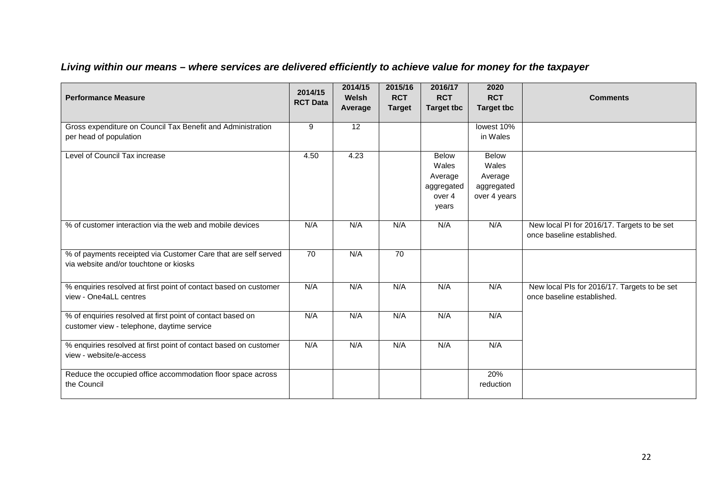# *Living within our means – where services are delivered efficiently to achieve value for money for the taxpayer*

| <b>Performance Measure</b>                                                                               | 2014/15<br><b>RCT Data</b> | 2014/15<br>Welsh<br>Average | 2015/16<br><b>RCT</b><br><b>Target</b> | 2016/17<br><b>RCT</b><br><b>Target tbc</b>                        | 2020<br><b>RCT</b><br><b>Target tbc</b>                 | <b>Comments</b>                                                            |
|----------------------------------------------------------------------------------------------------------|----------------------------|-----------------------------|----------------------------------------|-------------------------------------------------------------------|---------------------------------------------------------|----------------------------------------------------------------------------|
| Gross expenditure on Council Tax Benefit and Administration<br>per head of population                    | 9                          | $\overline{12}$             |                                        |                                                                   | lowest 10%<br>in Wales                                  |                                                                            |
| Level of Council Tax increase                                                                            | 4.50                       | 4.23                        |                                        | <b>Below</b><br>Wales<br>Average<br>aggregated<br>over 4<br>years | Below<br>Wales<br>Average<br>aggregated<br>over 4 years |                                                                            |
| % of customer interaction via the web and mobile devices                                                 | N/A                        | N/A                         | N/A                                    | N/A                                                               | N/A                                                     | New local PI for 2016/17. Targets to be set<br>once baseline established.  |
| % of payments receipted via Customer Care that are self served<br>via website and/or touchtone or kiosks | 70                         | N/A                         | 70                                     |                                                                   |                                                         |                                                                            |
| % enquiries resolved at first point of contact based on customer<br>view - One4aLL centres               | N/A                        | N/A                         | N/A                                    | N/A                                                               | N/A                                                     | New local PIs for 2016/17. Targets to be set<br>once baseline established. |
| % of enquiries resolved at first point of contact based on<br>customer view - telephone, daytime service | N/A                        | N/A                         | N/A                                    | N/A                                                               | N/A                                                     |                                                                            |
| % enquiries resolved at first point of contact based on customer<br>view - website/e-access              | N/A                        | N/A                         | N/A                                    | N/A                                                               | N/A                                                     |                                                                            |
| Reduce the occupied office accommodation floor space across<br>the Council                               |                            |                             |                                        |                                                                   | 20%<br>reduction                                        |                                                                            |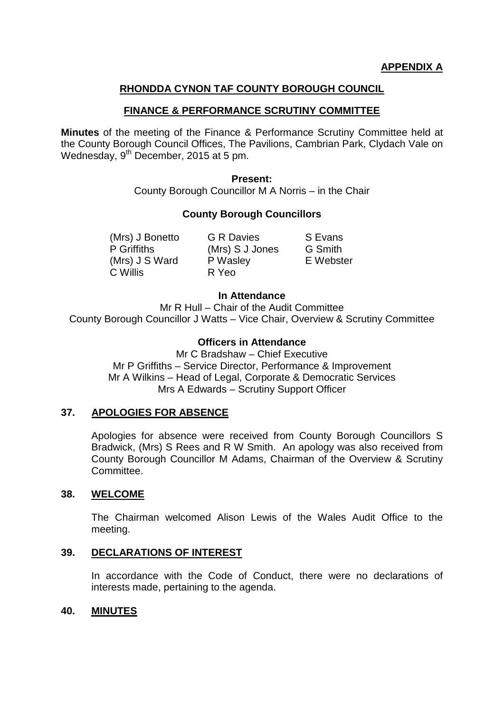# **APPENDIX A**

## **RHONDDA CYNON TAF COUNTY BOROUGH COUNCIL**

## **FINANCE & PERFORMANCE SCRUTINY COMMITTEE**

**Minutes** of the meeting of the Finance & Performance Scrutiny Committee held at the County Borough Council Offices, The Pavilions, Cambrian Park, Clydach Vale on Wednesday, 9<sup>th</sup> December, 2015 at 5 pm.

## **Present:**

County Borough Councillor M A Norris – in the Chair

## **County Borough Councillors**

(Mrs) J Bonetto G R Davies S Evans P Griffiths (Mrs) S J Jones G Smith (Mrs) J S Ward P Wasley E Webster C Willis R Yeo

## **In Attendance**

Mr R Hull – Chair of the Audit Committee County Borough Councillor J Watts – Vice Chair, Overview & Scrutiny Committee

## **Officers in Attendance**

Mr C Bradshaw – Chief Executive Mr P Griffiths – Service Director, Performance & Improvement Mr A Wilkins – Head of Legal, Corporate & Democratic Services Mrs A Edwards – Scrutiny Support Officer

## **37. APOLOGIES FOR ABSENCE**

Apologies for absence were received from County Borough Councillors S Bradwick, (Mrs) S Rees and R W Smith. An apology was also received from County Borough Councillor M Adams, Chairman of the Overview & Scrutiny **Committee** 

## **38. WELCOME**

The Chairman welcomed Alison Lewis of the Wales Audit Office to the meeting.

## **39. DECLARATIONS OF INTEREST**

In accordance with the Code of Conduct, there were no declarations of interests made, pertaining to the agenda.

## **40. MINUTES**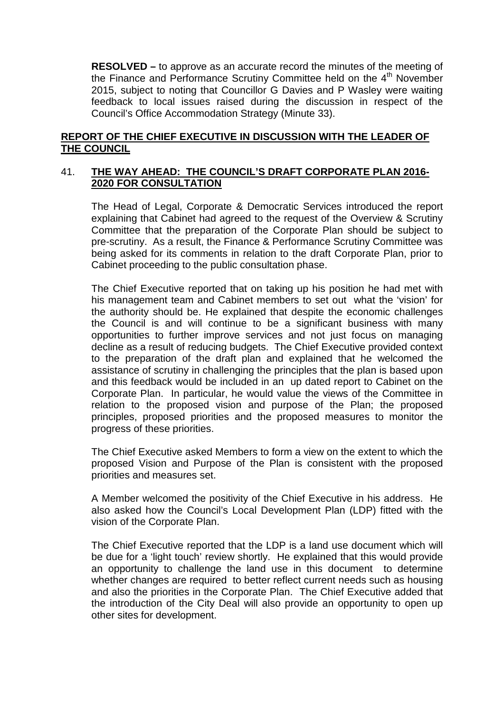**RESOLVED –** to approve as an accurate record the minutes of the meeting of the Finance and Performance Scrutiny Committee held on the 4<sup>th</sup> November 2015, subject to noting that Councillor G Davies and P Wasley were waiting feedback to local issues raised during the discussion in respect of the Council's Office Accommodation Strategy (Minute 33).

## **REPORT OF THE CHIEF EXECUTIVE IN DISCUSSION WITH THE LEADER OF THE COUNCIL**

## 41. **THE WAY AHEAD: THE COUNCIL'S DRAFT CORPORATE PLAN 2016- 2020 FOR CONSULTATION**

The Head of Legal, Corporate & Democratic Services introduced the report explaining that Cabinet had agreed to the request of the Overview & Scrutiny Committee that the preparation of the Corporate Plan should be subject to pre-scrutiny. As a result, the Finance & Performance Scrutiny Committee was being asked for its comments in relation to the draft Corporate Plan, prior to Cabinet proceeding to the public consultation phase.

The Chief Executive reported that on taking up his position he had met with his management team and Cabinet members to set out what the 'vision' for the authority should be. He explained that despite the economic challenges the Council is and will continue to be a significant business with many opportunities to further improve services and not just focus on managing decline as a result of reducing budgets. The Chief Executive provided context to the preparation of the draft plan and explained that he welcomed the assistance of scrutiny in challenging the principles that the plan is based upon and this feedback would be included in an up dated report to Cabinet on the Corporate Plan. In particular, he would value the views of the Committee in relation to the proposed vision and purpose of the Plan; the proposed principles, proposed priorities and the proposed measures to monitor the progress of these priorities.

The Chief Executive asked Members to form a view on the extent to which the proposed Vision and Purpose of the Plan is consistent with the proposed priorities and measures set.

A Member welcomed the positivity of the Chief Executive in his address. He also asked how the Council's Local Development Plan (LDP) fitted with the vision of the Corporate Plan.

The Chief Executive reported that the LDP is a land use document which will be due for a 'light touch' review shortly. He explained that this would provide an opportunity to challenge the land use in this document to determine whether changes are required to better reflect current needs such as housing and also the priorities in the Corporate Plan. The Chief Executive added that the introduction of the City Deal will also provide an opportunity to open up other sites for development.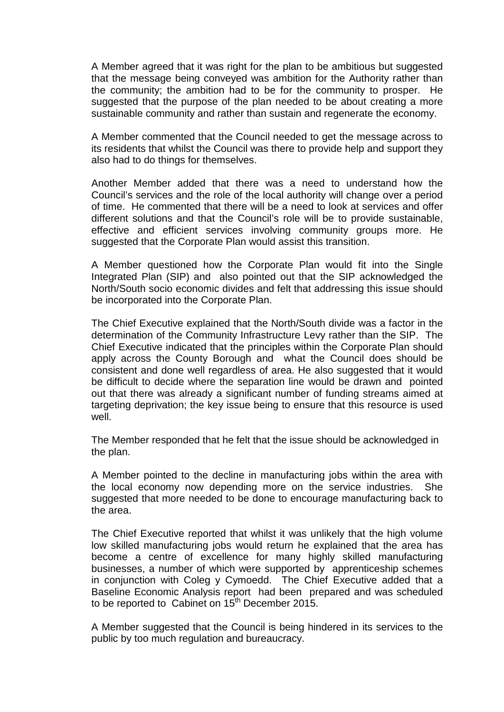A Member agreed that it was right for the plan to be ambitious but suggested that the message being conveyed was ambition for the Authority rather than the community; the ambition had to be for the community to prosper. He suggested that the purpose of the plan needed to be about creating a more sustainable community and rather than sustain and regenerate the economy.

A Member commented that the Council needed to get the message across to its residents that whilst the Council was there to provide help and support they also had to do things for themselves.

Another Member added that there was a need to understand how the Council's services and the role of the local authority will change over a period of time. He commented that there will be a need to look at services and offer different solutions and that the Council's role will be to provide sustainable, effective and efficient services involving community groups more. He suggested that the Corporate Plan would assist this transition.

A Member questioned how the Corporate Plan would fit into the Single Integrated Plan (SIP) and also pointed out that the SIP acknowledged the North/South socio economic divides and felt that addressing this issue should be incorporated into the Corporate Plan.

The Chief Executive explained that the North/South divide was a factor in the determination of the Community Infrastructure Levy rather than the SIP. The Chief Executive indicated that the principles within the Corporate Plan should apply across the County Borough and what the Council does should be consistent and done well regardless of area. He also suggested that it would be difficult to decide where the separation line would be drawn and pointed out that there was already a significant number of funding streams aimed at targeting deprivation; the key issue being to ensure that this resource is used well.

The Member responded that he felt that the issue should be acknowledged in the plan.

A Member pointed to the decline in manufacturing jobs within the area with the local economy now depending more on the service industries. She suggested that more needed to be done to encourage manufacturing back to the area.

The Chief Executive reported that whilst it was unlikely that the high volume low skilled manufacturing jobs would return he explained that the area has become a centre of excellence for many highly skilled manufacturing businesses, a number of which were supported by apprenticeship schemes in conjunction with Coleg y Cymoedd. The Chief Executive added that a Baseline Economic Analysis report had been prepared and was scheduled to be reported to Cabinet on  $15<sup>th</sup>$  December 2015.

A Member suggested that the Council is being hindered in its services to the public by too much regulation and bureaucracy.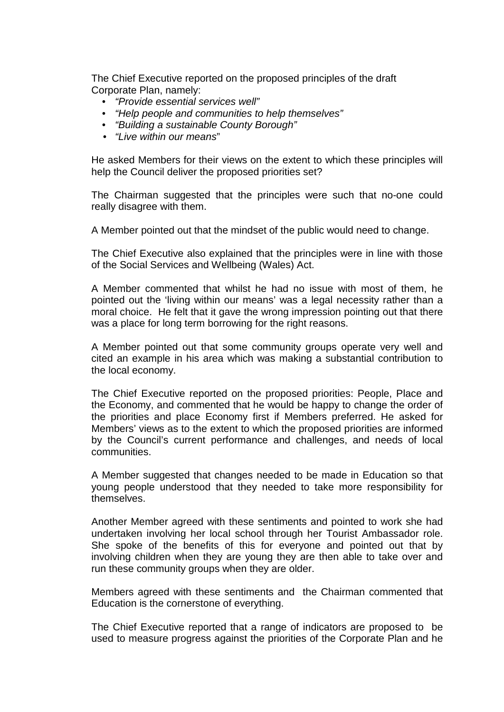The Chief Executive reported on the proposed principles of the draft Corporate Plan, namely:

- *"Provide essential services well"*
- *"Help people and communities to help themselves"*
- *"Building a sustainable County Borough"*
- *"Live within our means*"

He asked Members for their views on the extent to which these principles will help the Council deliver the proposed priorities set?

The Chairman suggested that the principles were such that no-one could really disagree with them.

A Member pointed out that the mindset of the public would need to change.

The Chief Executive also explained that the principles were in line with those of the Social Services and Wellbeing (Wales) Act.

A Member commented that whilst he had no issue with most of them, he pointed out the 'living within our means' was a legal necessity rather than a moral choice. He felt that it gave the wrong impression pointing out that there was a place for long term borrowing for the right reasons.

A Member pointed out that some community groups operate very well and cited an example in his area which was making a substantial contribution to the local economy.

The Chief Executive reported on the proposed priorities: People, Place and the Economy, and commented that he would be happy to change the order of the priorities and place Economy first if Members preferred. He asked for Members' views as to the extent to which the proposed priorities are informed by the Council's current performance and challenges, and needs of local communities.

A Member suggested that changes needed to be made in Education so that young people understood that they needed to take more responsibility for themselves.

Another Member agreed with these sentiments and pointed to work she had undertaken involving her local school through her Tourist Ambassador role. She spoke of the benefits of this for everyone and pointed out that by involving children when they are young they are then able to take over and run these community groups when they are older.

Members agreed with these sentiments and the Chairman commented that Education is the cornerstone of everything.

The Chief Executive reported that a range of indicators are proposed to be used to measure progress against the priorities of the Corporate Plan and he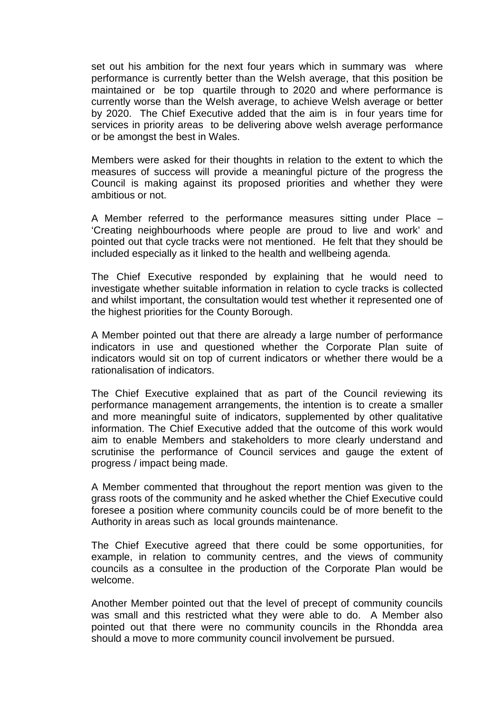set out his ambition for the next four years which in summary was where performance is currently better than the Welsh average, that this position be maintained or be top quartile through to 2020 and where performance is currently worse than the Welsh average, to achieve Welsh average or better by 2020. The Chief Executive added that the aim is in four years time for services in priority areas to be delivering above welsh average performance or be amongst the best in Wales.

Members were asked for their thoughts in relation to the extent to which the measures of success will provide a meaningful picture of the progress the Council is making against its proposed priorities and whether they were ambitious or not.

A Member referred to the performance measures sitting under Place – 'Creating neighbourhoods where people are proud to live and work' and pointed out that cycle tracks were not mentioned. He felt that they should be included especially as it linked to the health and wellbeing agenda.

The Chief Executive responded by explaining that he would need to investigate whether suitable information in relation to cycle tracks is collected and whilst important, the consultation would test whether it represented one of the highest priorities for the County Borough.

A Member pointed out that there are already a large number of performance indicators in use and questioned whether the Corporate Plan suite of indicators would sit on top of current indicators or whether there would be a rationalisation of indicators.

The Chief Executive explained that as part of the Council reviewing its performance management arrangements, the intention is to create a smaller and more meaningful suite of indicators, supplemented by other qualitative information. The Chief Executive added that the outcome of this work would aim to enable Members and stakeholders to more clearly understand and scrutinise the performance of Council services and gauge the extent of progress / impact being made.

A Member commented that throughout the report mention was given to the grass roots of the community and he asked whether the Chief Executive could foresee a position where community councils could be of more benefit to the Authority in areas such as local grounds maintenance.

The Chief Executive agreed that there could be some opportunities, for example, in relation to community centres, and the views of community councils as a consultee in the production of the Corporate Plan would be welcome.

Another Member pointed out that the level of precept of community councils was small and this restricted what they were able to do. A Member also pointed out that there were no community councils in the Rhondda area should a move to more community council involvement be pursued.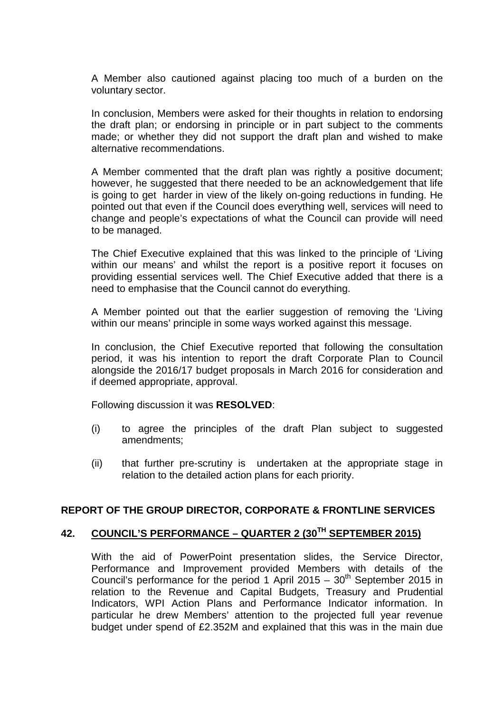A Member also cautioned against placing too much of a burden on the voluntary sector.

In conclusion, Members were asked for their thoughts in relation to endorsing the draft plan; or endorsing in principle or in part subject to the comments made; or whether they did not support the draft plan and wished to make alternative recommendations.

A Member commented that the draft plan was rightly a positive document; however, he suggested that there needed to be an acknowledgement that life is going to get harder in view of the likely on-going reductions in funding. He pointed out that even if the Council does everything well, services will need to change and people's expectations of what the Council can provide will need to be managed.

The Chief Executive explained that this was linked to the principle of 'Living within our means' and whilst the report is a positive report it focuses on providing essential services well. The Chief Executive added that there is a need to emphasise that the Council cannot do everything.

A Member pointed out that the earlier suggestion of removing the 'Living within our means' principle in some ways worked against this message.

In conclusion, the Chief Executive reported that following the consultation period, it was his intention to report the draft Corporate Plan to Council alongside the 2016/17 budget proposals in March 2016 for consideration and if deemed appropriate, approval.

Following discussion it was **RESOLVED**:

- (i) to agree the principles of the draft Plan subject to suggested amendments;
- (ii) that further pre-scrutiny is undertaken at the appropriate stage in relation to the detailed action plans for each priority.

## **REPORT OF THE GROUP DIRECTOR, CORPORATE & FRONTLINE SERVICES**

## **42. COUNCIL'S PERFORMANCE – QUARTER 2 (30TH SEPTEMBER 2015)**

With the aid of PowerPoint presentation slides, the Service Director, Performance and Improvement provided Members with details of the Council's performance for the period 1 April 2015 –  $30<sup>th</sup>$  September 2015 in relation to the Revenue and Capital Budgets, Treasury and Prudential Indicators, WPI Action Plans and Performance Indicator information. In particular he drew Members' attention to the projected full year revenue budget under spend of £2.352M and explained that this was in the main due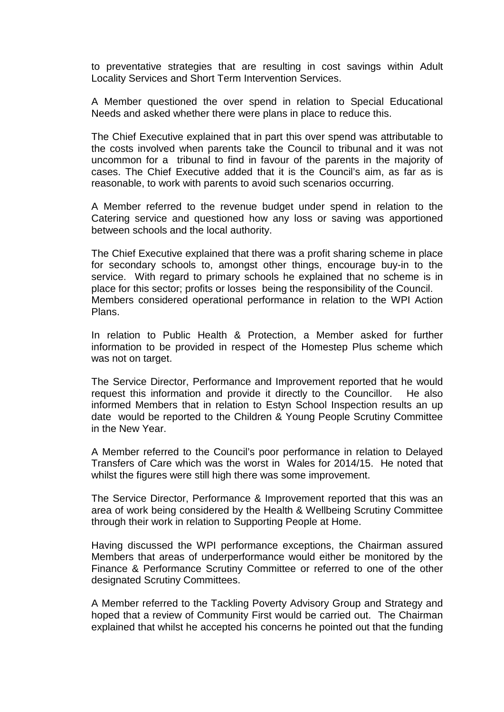to preventative strategies that are resulting in cost savings within Adult Locality Services and Short Term Intervention Services.

A Member questioned the over spend in relation to Special Educational Needs and asked whether there were plans in place to reduce this.

The Chief Executive explained that in part this over spend was attributable to the costs involved when parents take the Council to tribunal and it was not uncommon for a tribunal to find in favour of the parents in the majority of cases. The Chief Executive added that it is the Council's aim, as far as is reasonable, to work with parents to avoid such scenarios occurring.

A Member referred to the revenue budget under spend in relation to the Catering service and questioned how any loss or saving was apportioned between schools and the local authority.

The Chief Executive explained that there was a profit sharing scheme in place for secondary schools to, amongst other things, encourage buy-in to the service. With regard to primary schools he explained that no scheme is in place for this sector; profits or losses being the responsibility of the Council. Members considered operational performance in relation to the WPI Action Plans.

In relation to Public Health & Protection, a Member asked for further information to be provided in respect of the Homestep Plus scheme which was not on target.

The Service Director, Performance and Improvement reported that he would request this information and provide it directly to the Councillor. He also informed Members that in relation to Estyn School Inspection results an up date would be reported to the Children & Young People Scrutiny Committee in the New Year.

A Member referred to the Council's poor performance in relation to Delayed Transfers of Care which was the worst in Wales for 2014/15. He noted that whilst the figures were still high there was some improvement.

The Service Director, Performance & Improvement reported that this was an area of work being considered by the Health & Wellbeing Scrutiny Committee through their work in relation to Supporting People at Home.

Having discussed the WPI performance exceptions, the Chairman assured Members that areas of underperformance would either be monitored by the Finance & Performance Scrutiny Committee or referred to one of the other designated Scrutiny Committees.

A Member referred to the Tackling Poverty Advisory Group and Strategy and hoped that a review of Community First would be carried out. The Chairman explained that whilst he accepted his concerns he pointed out that the funding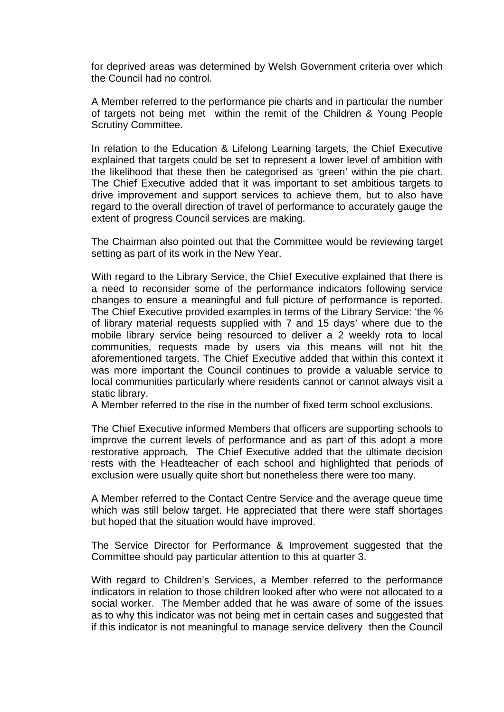for deprived areas was determined by Welsh Government criteria over which the Council had no control.

A Member referred to the performance pie charts and in particular the number of targets not being met within the remit of the Children & Young People Scrutiny Committee.

In relation to the Education & Lifelong Learning targets, the Chief Executive explained that targets could be set to represent a lower level of ambition with the likelihood that these then be categorised as 'green' within the pie chart. The Chief Executive added that it was important to set ambitious targets to drive improvement and support services to achieve them, but to also have regard to the overall direction of travel of performance to accurately gauge the extent of progress Council services are making.

The Chairman also pointed out that the Committee would be reviewing target setting as part of its work in the New Year.

With regard to the Library Service, the Chief Executive explained that there is a need to reconsider some of the performance indicators following service changes to ensure a meaningful and full picture of performance is reported. The Chief Executive provided examples in terms of the Library Service: 'the % of library material requests supplied with 7 and 15 days' where due to the mobile library service being resourced to deliver a 2 weekly rota to local communities, requests made by users via this means will not hit the aforementioned targets. The Chief Executive added that within this context it was more important the Council continues to provide a valuable service to local communities particularly where residents cannot or cannot always visit a static library.

A Member referred to the rise in the number of fixed term school exclusions.

The Chief Executive informed Members that officers are supporting schools to improve the current levels of performance and as part of this adopt a more restorative approach. The Chief Executive added that the ultimate decision rests with the Headteacher of each school and highlighted that periods of exclusion were usually quite short but nonetheless there were too many.

A Member referred to the Contact Centre Service and the average queue time which was still below target. He appreciated that there were staff shortages but hoped that the situation would have improved.

The Service Director for Performance & Improvement suggested that the Committee should pay particular attention to this at quarter 3.

With regard to Children's Services, a Member referred to the performance indicators in relation to those children looked after who were not allocated to a social worker. The Member added that he was aware of some of the issues as to why this indicator was not being met in certain cases and suggested that if this indicator is not meaningful to manage service delivery then the Council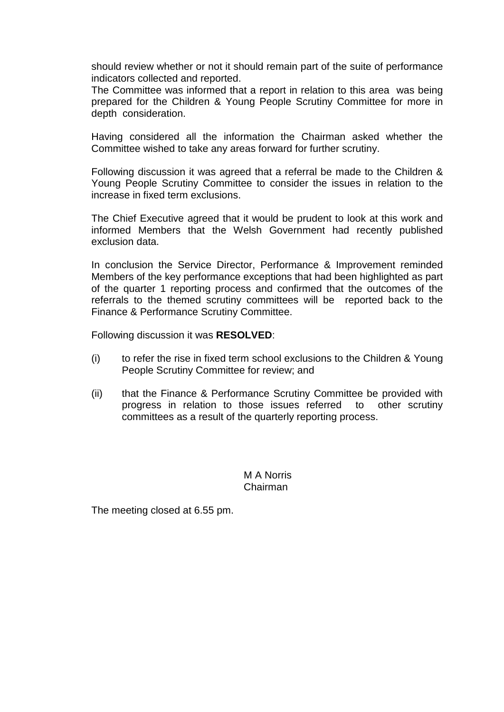should review whether or not it should remain part of the suite of performance indicators collected and reported.

The Committee was informed that a report in relation to this area was being prepared for the Children & Young People Scrutiny Committee for more in depth consideration.

Having considered all the information the Chairman asked whether the Committee wished to take any areas forward for further scrutiny.

Following discussion it was agreed that a referral be made to the Children & Young People Scrutiny Committee to consider the issues in relation to the increase in fixed term exclusions.

The Chief Executive agreed that it would be prudent to look at this work and informed Members that the Welsh Government had recently published exclusion data.

In conclusion the Service Director, Performance & Improvement reminded Members of the key performance exceptions that had been highlighted as part of the quarter 1 reporting process and confirmed that the outcomes of the referrals to the themed scrutiny committees will be reported back to the Finance & Performance Scrutiny Committee.

Following discussion it was **RESOLVED**:

- (i) to refer the rise in fixed term school exclusions to the Children & Young People Scrutiny Committee for review; and
- (ii) that the Finance & Performance Scrutiny Committee be provided with progress in relation to those issues referred to other scrutiny committees as a result of the quarterly reporting process.

M A Norris Chairman

The meeting closed at 6.55 pm.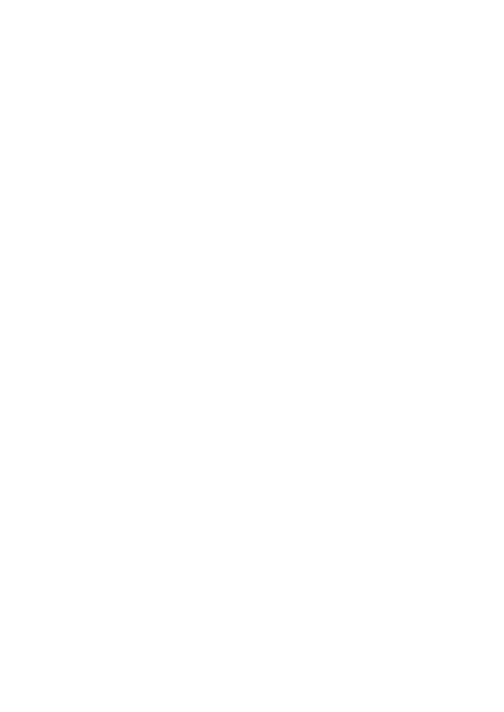Council - 24 February, 2016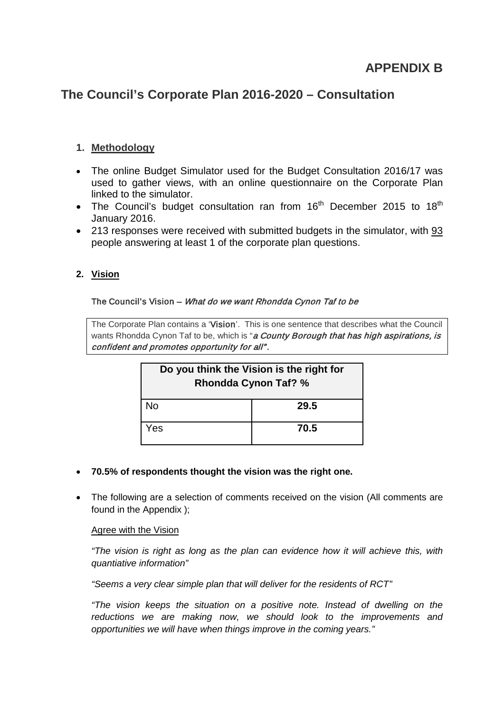# **APPENDIX B**

# **The Council's Corporate Plan 2016-2020 – Consultation**

# **1. Methodology**

- The online Budget Simulator used for the Budget Consultation 2016/17 was used to gather views, with an online questionnaire on the Corporate Plan linked to the simulator.
- The Council's budget consultation ran from  $16<sup>th</sup>$  December 2015 to  $18<sup>th</sup>$ January 2016.
- 213 responses were received with submitted budgets in the simulator, with 93 people answering at least 1 of the corporate plan questions.

## **2. Vision**

## The Council's Vision – What do we want Rhondda Cynon Taf to be

The Corporate Plan contains a 'Vision'. This is one sentence that describes what the Council wants Rhondda Cynon Taf to be, which is "a County Borough that has high aspirations, is confident and promotes opportunity for all".

| Do you think the Vision is the right for<br><b>Rhondda Cynon Taf? %</b> |      |  |
|-------------------------------------------------------------------------|------|--|
| N٥                                                                      | 29.5 |  |
| res                                                                     | 70.5 |  |

- **70.5% of respondents thought the vision was the right one.**
- The following are a selection of comments received on the vision (All comments are found in the Appendix );

## Agree with the Vision

*"The vision is right as long as the plan can evidence how it will achieve this, with quantiative information"* 

*"Seems a very clear simple plan that will deliver for the residents of RCT"* 

*"The vision keeps the situation on a positive note. Instead of dwelling on the reductions we are making now, we should look to the improvements and opportunities we will have when things improve in the coming years."*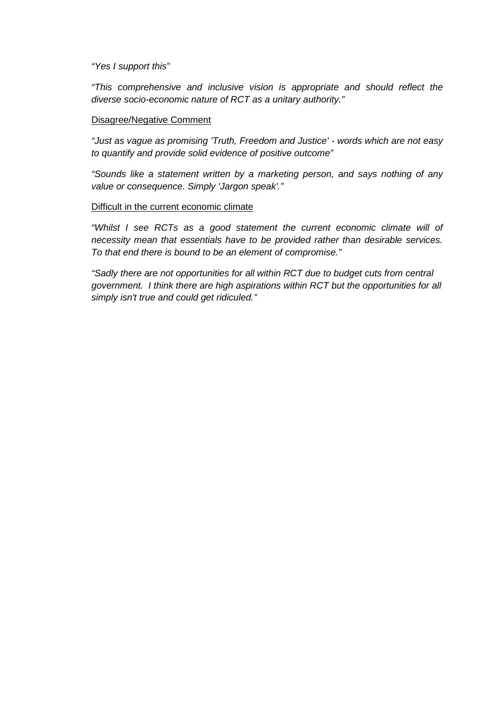### *"Yes I support this"*

*"This comprehensive and inclusive vision is appropriate and should reflect the diverse socio-economic nature of RCT as a unitary authority."* 

### Disagree/Negative Comment

*"Just as vague as promising 'Truth, Freedom and Justice' - words which are not easy to quantify and provide solid evidence of positive outcome"* 

*"Sounds like a statement written by a marketing person, and says nothing of any value or consequence. Simply 'Jargon speak'."* 

### Difficult in the current economic climate

*"Whilst I see RCTs as a good statement the current economic climate will of necessity mean that essentials have to be provided rather than desirable services. To that end there is bound to be an element of compromise."*

*"Sadly there are not opportunities for all within RCT due to budget cuts from central government. I think there are high aspirations within RCT but the opportunities for all simply isn't true and could get ridiculed."*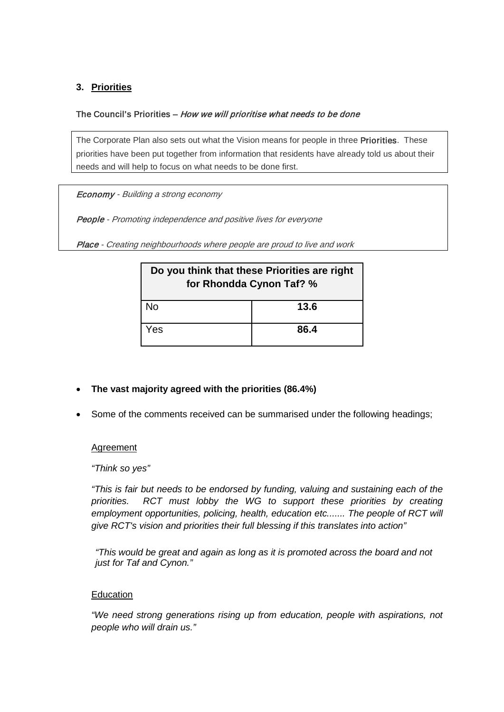## **3. Priorities**

### The Council's Priorities - How we will prioritise what needs to be done

The Corporate Plan also sets out what the Vision means for people in three Priorities. These priorities have been put together from information that residents have already told us about their needs and will help to focus on what needs to be done first.

Economy - Building a strong economy

People - Promoting independence and positive lives for everyone

Place - Creating neighbourhoods where people are proud to live and work

| Do you think that these Priorities are right<br>for Rhondda Cynon Taf? % |      |  |  |
|--------------------------------------------------------------------------|------|--|--|
| N٥                                                                       | 13.6 |  |  |
| Yes                                                                      | 86.4 |  |  |

### • **The vast majority agreed with the priorities (86.4%)**

• Some of the comments received can be summarised under the following headings;

### **Agreement**

### *"Think so yes"*

*"This is fair but needs to be endorsed by funding, valuing and sustaining each of the priorities. RCT must lobby the WG to support these priorities by creating employment opportunities, policing, health, education etc....... The people of RCT will give RCT's vision and priorities their full blessing if this translates into action"* 

*"This would be great and again as long as it is promoted across the board and not just for Taf and Cynon."*

### **Education**

*"We need strong generations rising up from education, people with aspirations, not people who will drain us."*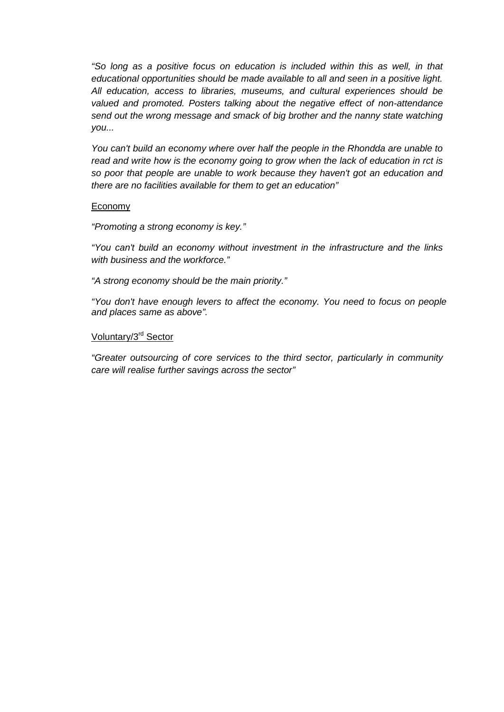*"So long as a positive focus on education is included within this as well, in that educational opportunities should be made available to all and seen in a positive light. All education, access to libraries, museums, and cultural experiences should be valued and promoted. Posters talking about the negative effect of non-attendance send out the wrong message and smack of big brother and the nanny state watching you...*

*You can't build an economy where over half the people in the Rhondda are unable to read and write how is the economy going to grow when the lack of education in rct is so poor that people are unable to work because they haven't got an education and there are no facilities available for them to get an education"* 

### Economy

*"Promoting a strong economy is key."* 

*"You can't build an economy without investment in the infrastructure and the links with business and the workforce."* 

*"A strong economy should be the main priority."* 

*"You don't have enough levers to affect the economy. You need to focus on people and places same as above".*

### Voluntary/3rd Sector

*"Greater outsourcing of core services to the third sector, particularly in community care will realise further savings across the sector"*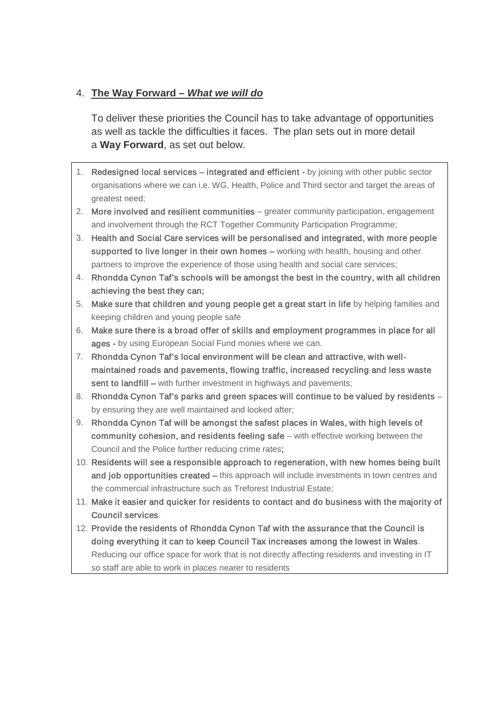## 4. **The Way Forward –** *What we will do*

To deliver these priorities the Council has to take advantage of opportunities as well as tackle the difficulties it faces. The plan sets out in more detail a **Way Forward**, as set out below.

- 1. Redesigned local services integrated and efficient by joining with other public sector organisations where we can i.e. WG, Health, Police and Third sector and target the areas of greatest need;
- 2. More involved and resilient communities greater community participation, engagement and involvement through the RCT Together Community Participation Programme;
- 3. Health and Social Care services will be personalised and integrated, with more people supported to live longer in their own homes – working with health, housing and other partners to improve the experience of those using health and social care services;
- 4. Rhondda Cynon Taf's schools will be amongst the best in the country, with all children achieving the best they can;
- 5. Make sure that children and young people get a great start in life by helping families and keeping children and young people safe
- 6. Make sure there is a broad offer of skills and employment programmes in place for all ages - by using European Social Fund monies where we can.
- 7. Rhondda Cynon Taf's local environment will be clean and attractive, with wellmaintained roads and pavements, flowing traffic, increased recycling and less waste sent to landfill – with further investment in highways and pavements;
- 8. Rhondda Cynon Taf's parks and green spaces will continue to be valued by residents by ensuring they are well maintained and looked after;
- 9. Rhondda Cynon Taf will be amongst the safest places in Wales, with high levels of community cohesion, and residents feeling safe – with effective working between the Council and the Police further reducing crime rates;
- 10. Residents will see a responsible approach to regeneration, with new homes being built and job opportunities created – this approach will include investments in town centres and the commercial infrastructure such as Treforest Industrial Estate;
- 11. Make it easier and quicker for residents to contact and do business with the majority of Council services.
- 12. Provide the residents of Rhondda Cynon Taf with the assurance that the Council is doing everything it can to keep Council Tax increases among the lowest in Wales. Reducing our office space for work that is not directly affecting residents and investing in IT so staff are able to work in places nearer to residents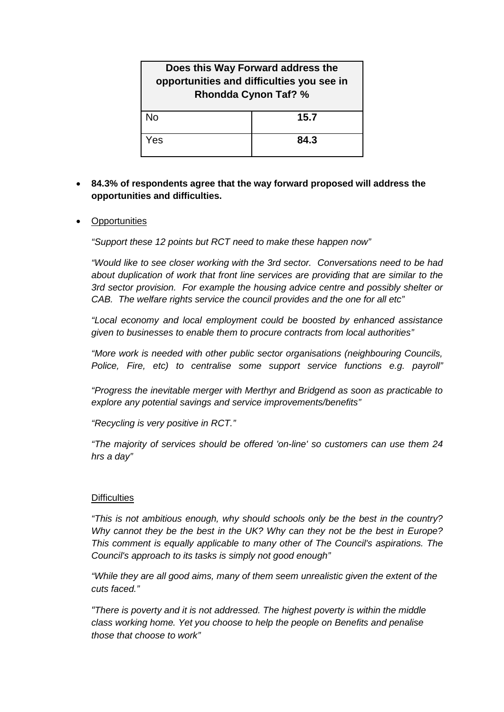| Does this Way Forward address the<br>opportunities and difficulties you see in<br><b>Rhondda Cynon Taf? %</b> |      |  |
|---------------------------------------------------------------------------------------------------------------|------|--|
| No                                                                                                            | 15.7 |  |
| Yes                                                                                                           | 84.3 |  |

### • **84.3% of respondents agree that the way forward proposed will address the opportunities and difficulties.**

• **Opportunities** 

*"Support these 12 points but RCT need to make these happen now"* 

*"Would like to see closer working with the 3rd sector. Conversations need to be had about duplication of work that front line services are providing that are similar to the 3rd sector provision. For example the housing advice centre and possibly shelter or CAB. The welfare rights service the council provides and the one for all etc"* 

*"Local economy and local employment could be boosted by enhanced assistance given to businesses to enable them to procure contracts from local authorities"* 

*"More work is needed with other public sector organisations (neighbouring Councils, Police, Fire, etc) to centralise some support service functions e.g. payroll"* 

*"Progress the inevitable merger with Merthyr and Bridgend as soon as practicable to explore any potential savings and service improvements/benefits"* 

*"Recycling is very positive in RCT."* 

*"The majority of services should be offered 'on-line' so customers can use them 24 hrs a day"* 

### **Difficulties**

*"This is not ambitious enough, why should schools only be the best in the country? Why cannot they be the best in the UK? Why can they not be the best in Europe? This comment is equally applicable to many other of The Council's aspirations. The Council's approach to its tasks is simply not good enough"* 

*"While they are all good aims, many of them seem unrealistic given the extent of the cuts faced."*

*"There is poverty and it is not addressed. The highest poverty is within the middle class working home. Yet you choose to help the people on Benefits and penalise those that choose to work"*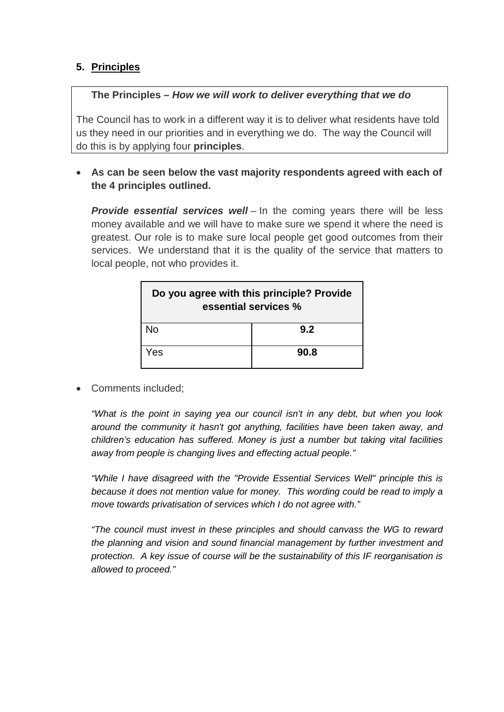# **5. Principles**

## **The Principles –** *How we will work to deliver everything that we do*

The Council has to work in a different way it is to deliver what residents have told us they need in our priorities and in everything we do. The way the Council will do this is by applying four **principles**.

## • **As can be seen below the vast majority respondents agreed with each of the 4 principles outlined.**

*Provide essential services well –* In the coming years there will be less money available and we will have to make sure we spend it where the need is greatest. Our role is to make sure local people get good outcomes from their services. We understand that it is the quality of the service that matters to local people, not who provides it.

| Do you agree with this principle? Provide<br>essential services % |      |  |
|-------------------------------------------------------------------|------|--|
| No                                                                | 9.2  |  |
| Yes                                                               | 90.8 |  |

• Comments included;

*"What is the point in saying yea our council isn't in any debt, but when you look around the community it hasn't got anything, facilities have been taken away, and children's education has suffered. Money is just a number but taking vital facilities away from people is changing lives and effecting actual people."*

*"While I have disagreed with the "Provide Essential Services Well" principle this is because it does not mention value for money. This wording could be read to imply a move towards privatisation of services which I do not agree with."* 

*"The council must invest in these principles and should canvass the WG to reward the planning and vision and sound financial management by further investment and protection. A key issue of course will be the sustainability of this IF reorganisation is allowed to proceed."*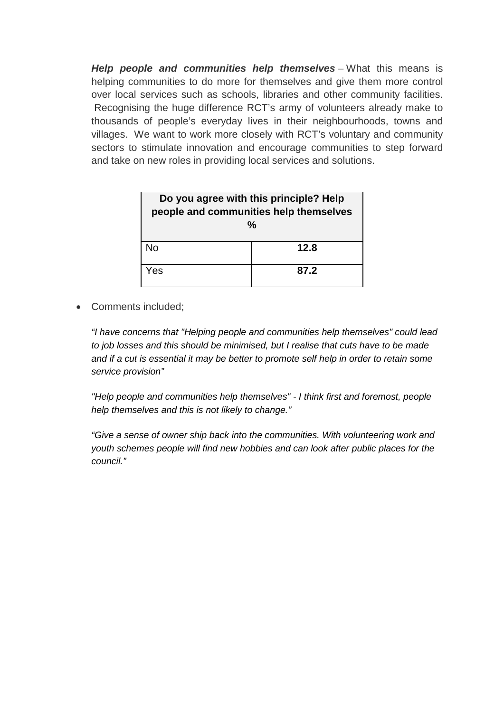*Help people and communities help themselves* – What this means is helping communities to do more for themselves and give them more control over local services such as schools, libraries and other community facilities. Recognising the huge difference RCT's army of volunteers already make to thousands of people's everyday lives in their neighbourhoods, towns and villages. We want to work more closely with RCT's voluntary and community sectors to stimulate innovation and encourage communities to step forward and take on new roles in providing local services and solutions.

| Do you agree with this principle? Help<br>people and communities help themselves<br>% |      |  |
|---------------------------------------------------------------------------------------|------|--|
| N٥                                                                                    | 12.8 |  |
| Yes                                                                                   | 87.2 |  |

• Comments included;

*"I have concerns that "Helping people and communities help themselves" could lead to job losses and this should be minimised, but I realise that cuts have to be made and if a cut is essential it may be better to promote self help in order to retain some service provision"*

*"Help people and communities help themselves" - I think first and foremost, people help themselves and this is not likely to change."* 

*"Give a sense of owner ship back into the communities. With volunteering work and youth schemes people will find new hobbies and can look after public places for the council."*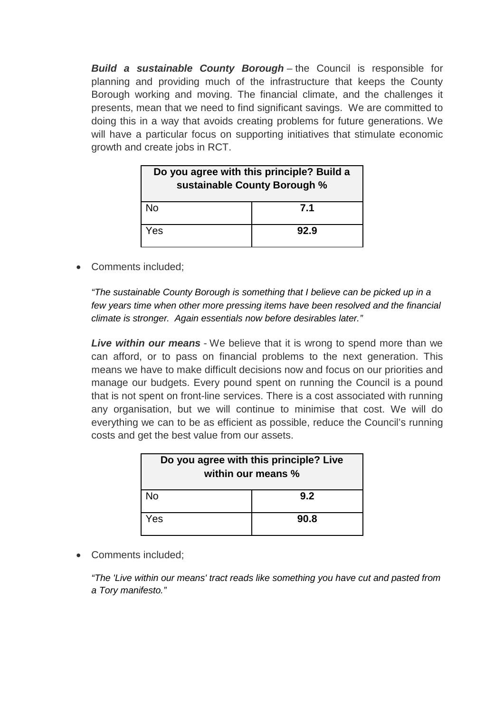**Build a sustainable County Borough** – the Council is responsible for planning and providing much of the infrastructure that keeps the County Borough working and moving. The financial climate, and the challenges it presents, mean that we need to find significant savings. We are committed to doing this in a way that avoids creating problems for future generations. We will have a particular focus on supporting initiatives that stimulate economic growth and create jobs in RCT.

| Do you agree with this principle? Build a<br>sustainable County Borough % |      |  |  |
|---------------------------------------------------------------------------|------|--|--|
| 7.1<br>N٥                                                                 |      |  |  |
| Yes                                                                       | 92.9 |  |  |

• Comments included;

*"The sustainable County Borough is something that I believe can be picked up in a few years time when other more pressing items have been resolved and the financial climate is stronger. Again essentials now before desirables later."*

*Live within our means -* We believe that it is wrong to spend more than we can afford, or to pass on financial problems to the next generation. This means we have to make difficult decisions now and focus on our priorities and manage our budgets. Every pound spent on running the Council is a pound that is not spent on front-line services. There is a cost associated with running any organisation, but we will continue to minimise that cost. We will do everything we can to be as efficient as possible, reduce the Council's running costs and get the best value from our assets.

| Do you agree with this principle? Live<br>within our means % |      |
|--------------------------------------------------------------|------|
| N٥                                                           | 9.2  |
| Yes                                                          | 90.8 |

• Comments included;

*"The 'Live within our means' tract reads like something you have cut and pasted from a Tory manifesto."*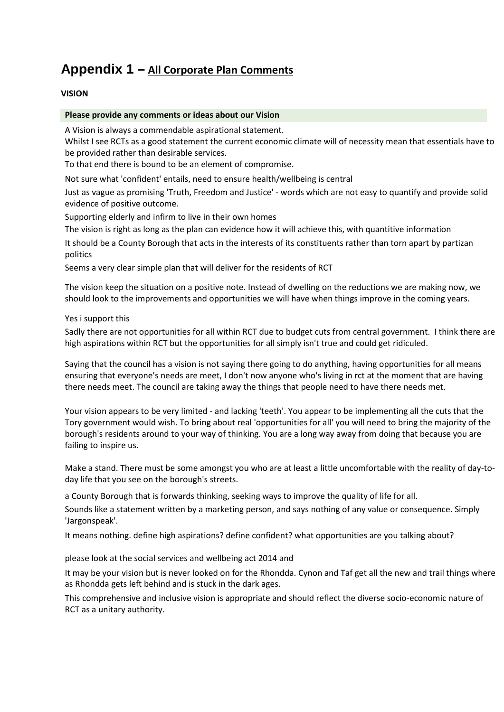# **Appendix 1 – All Corporate Plan Comments**

### **VISION**

### **Please provide any comments or ideas about our Vision**

A Vision is always a commendable aspirational statement.

Whilst I see RCTs as a good statement the current economic climate will of necessity mean that essentials have to be provided rather than desirable services.

To that end there is bound to be an element of compromise.

Not sure what 'confident' entails, need to ensure health/wellbeing is central

Just as vague as promising 'Truth, Freedom and Justice' - words which are not easy to quantify and provide solid evidence of positive outcome.

Supporting elderly and infirm to live in their own homes

The vision is right as long as the plan can evidence how it will achieve this, with quantitive information

It should be a County Borough that acts in the interests of its constituents rather than torn apart by partizan politics

Seems a very clear simple plan that will deliver for the residents of RCT

The vision keep the situation on a positive note. Instead of dwelling on the reductions we are making now, we should look to the improvements and opportunities we will have when things improve in the coming years.

Yes i support this

Sadly there are not opportunities for all within RCT due to budget cuts from central government. I think there are high aspirations within RCT but the opportunities for all simply isn't true and could get ridiculed.

Saying that the council has a vision is not saying there going to do anything, having opportunities for all means ensuring that everyone's needs are meet, I don't now anyone who's living in rct at the moment that are having there needs meet. The council are taking away the things that people need to have there needs met.

Your vision appears to be very limited - and lacking 'teeth'. You appear to be implementing all the cuts that the Tory government would wish. To bring about real 'opportunities for all' you will need to bring the majority of the borough's residents around to your way of thinking. You are a long way away from doing that because you are failing to inspire us.

Make a stand. There must be some amongst you who are at least a little uncomfortable with the reality of day-today life that you see on the borough's streets.

a County Borough that is forwards thinking, seeking ways to improve the quality of life for all.

Sounds like a statement written by a marketing person, and says nothing of any value or consequence. Simply 'Jargonspeak'.

It means nothing. define high aspirations? define confident? what opportunities are you talking about?

please look at the social services and wellbeing act 2014 and

It may be your vision but is never looked on for the Rhondda. Cynon and Taf get all the new and trail things where as Rhondda gets left behind and is stuck in the dark ages.

This comprehensive and inclusive vision is appropriate and should reflect the diverse socio-economic nature of RCT as a unitary authority.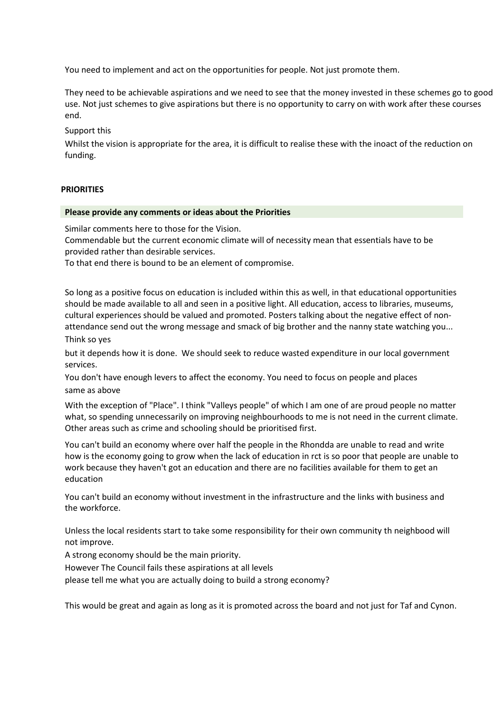You need to implement and act on the opportunities for people. Not just promote them.

They need to be achievable aspirations and we need to see that the money invested in these schemes go to good use. Not just schemes to give aspirations but there is no opportunity to carry on with work after these courses end.

Support this

Whilst the vision is appropriate for the area, it is difficult to realise these with the inoact of the reduction on funding.

### **PRIORITIES**

### **Please provide any comments or ideas about the Priorities**

Similar comments here to those for the Vision.

Commendable but the current economic climate will of necessity mean that essentials have to be provided rather than desirable services.

To that end there is bound to be an element of compromise.

So long as a positive focus on education is included within this as well, in that educational opportunities should be made available to all and seen in a positive light. All education, access to libraries, museums, cultural experiences should be valued and promoted. Posters talking about the negative effect of nonattendance send out the wrong message and smack of big brother and the nanny state watching you... Think so yes

but it depends how it is done. We should seek to reduce wasted expenditure in our local government services.

You don't have enough levers to affect the economy. You need to focus on people and places same as above

With the exception of "Place". I think "Valleys people" of which I am one of are proud people no matter what, so spending unnecessarily on improving neighbourhoods to me is not need in the current climate. Other areas such as crime and schooling should be prioritised first.

You can't build an economy where over half the people in the Rhondda are unable to read and write how is the economy going to grow when the lack of education in rct is so poor that people are unable to work because they haven't got an education and there are no facilities available for them to get an education

You can't build an economy without investment in the infrastructure and the links with business and the workforce.

Unless the local residents start to take some responsibility for their own community th neighbood will not improve.

A strong economy should be the main priority.

However The Council fails these aspirations at all levels

please tell me what you are actually doing to build a strong economy?

This would be great and again as long as it is promoted across the board and not just for Taf and Cynon.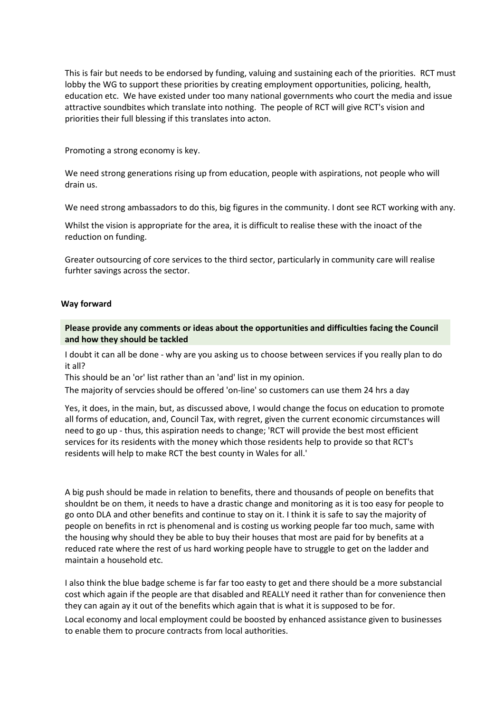This is fair but needs to be endorsed by funding, valuing and sustaining each of the priorities. RCT must lobby the WG to support these priorities by creating employment opportunities, policing, health, education etc. We have existed under too many national governments who court the media and issue attractive soundbites which translate into nothing. The people of RCT will give RCT's vision and priorities their full blessing if this translates into acton.

Promoting a strong economy is key.

We need strong generations rising up from education, people with aspirations, not people who will drain us.

We need strong ambassadors to do this, big figures in the community. I dont see RCT working with any.

Whilst the vision is appropriate for the area, it is difficult to realise these with the inoact of the reduction on funding.

Greater outsourcing of core services to the third sector, particularly in community care will realise furhter savings across the sector.

### **Way forward**

**Please provide any comments or ideas about the opportunities and difficulties facing the Council and how they should be tackled**

I doubt it can all be done - why are you asking us to choose between services if you really plan to do it all?

This should be an 'or' list rather than an 'and' list in my opinion.

The majority of servcies should be offered 'on-line' so customers can use them 24 hrs a day

Yes, it does, in the main, but, as discussed above, I would change the focus on education to promote all forms of education, and, Council Tax, with regret, given the current economic circumstances will need to go up - thus, this aspiration needs to change; 'RCT will provide the best most efficient services for its residents with the money which those residents help to provide so that RCT's residents will help to make RCT the best county in Wales for all.'

A big push should be made in relation to benefits, there and thousands of people on benefits that shouldnt be on them, it needs to have a drastic change and monitoring as it is too easy for people to go onto DLA and other benefits and continue to stay on it. I think it is safe to say the majority of people on benefits in rct is phenomenal and is costing us working people far too much, same with the housing why should they be able to buy their houses that most are paid for by benefits at a reduced rate where the rest of us hard working people have to struggle to get on the ladder and maintain a household etc.

I also think the blue badge scheme is far far too easty to get and there should be a more substancial cost which again if the people are that disabled and REALLY need it rather than for convenience then they can again ay it out of the benefits which again that is what it is supposed to be for.

Local economy and local employment could be boosted by enhanced assistance given to businesses to enable them to procure contracts from local authorities.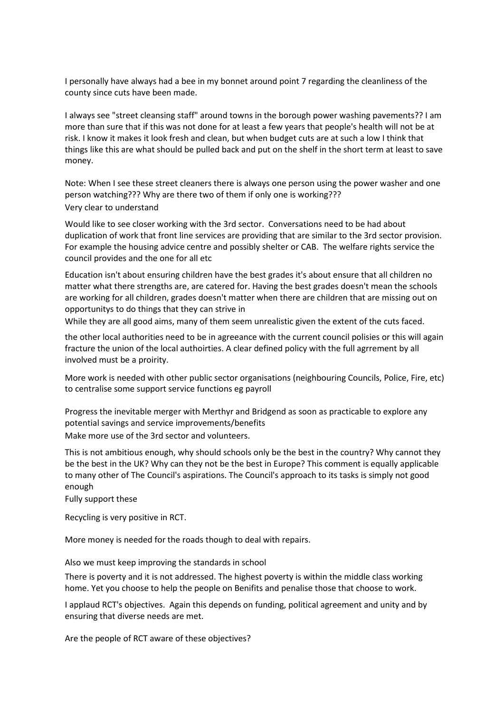I personally have always had a bee in my bonnet around point 7 regarding the cleanliness of the county since cuts have been made.

I always see "street cleansing staff" around towns in the borough power washing pavements?? I am more than sure that if this was not done for at least a few years that people's health will not be at risk. I know it makes it look fresh and clean, but when budget cuts are at such a low I think that things like this are what should be pulled back and put on the shelf in the short term at least to save money.

Note: When I see these street cleaners there is always one person using the power washer and one person watching??? Why are there two of them if only one is working??? Very clear to understand

Would like to see closer working with the 3rd sector. Conversations need to be had about duplication of work that front line services are providing that are similar to the 3rd sector provision. For example the housing advice centre and possibly shelter or CAB. The welfare rights service the council provides and the one for all etc

Education isn't about ensuring children have the best grades it's about ensure that all children no matter what there strengths are, are catered for. Having the best grades doesn't mean the schools are working for all children, grades doesn't matter when there are children that are missing out on opportunitys to do things that they can strive in

While they are all good aims, many of them seem unrealistic given the extent of the cuts faced.

the other local authorities need to be in agreeance with the current council polisies or this will again fracture the union of the local authoirties. A clear defined policy with the full agrrement by all involved must be a proirity.

More work is needed with other public sector organisations (neighbouring Councils, Police, Fire, etc) to centralise some support service functions eg payroll

Progress the inevitable merger with Merthyr and Bridgend as soon as practicable to explore any potential savings and service improvements/benefits Make more use of the 3rd sector and volunteers.

This is not ambitious enough, why should schools only be the best in the country? Why cannot they be the best in the UK? Why can they not be the best in Europe? This comment is equally applicable to many other of The Council's aspirations. The Council's approach to its tasks is simply not good enough

Fully support these

Recycling is very positive in RCT.

More money is needed for the roads though to deal with repairs.

Also we must keep improving the standards in school

There is poverty and it is not addressed. The highest poverty is within the middle class working home. Yet you choose to help the people on Benifits and penalise those that choose to work.

I applaud RCT's objectives. Again this depends on funding, political agreement and unity and by ensuring that diverse needs are met.

Are the people of RCT aware of these objectives?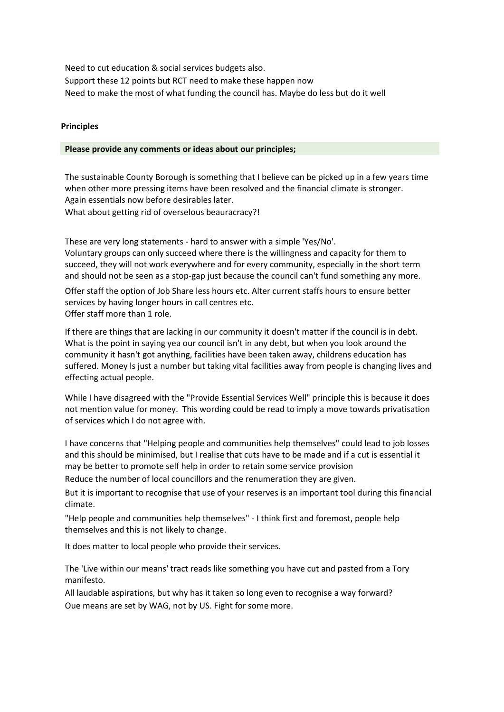Need to cut education & social services budgets also. Support these 12 points but RCT need to make these happen now Need to make the most of what funding the council has. Maybe do less but do it well

### **Principles**

#### **Please provide any comments or ideas about our principles;**

The sustainable County Borough is something that I believe can be picked up in a few years time when other more pressing items have been resolved and the financial climate is stronger. Again essentials now before desirables later.

What about getting rid of overselous beauracracy?!

These are very long statements - hard to answer with a simple 'Yes/No'. Voluntary groups can only succeed where there is the willingness and capacity for them to succeed, they will not work everywhere and for every community, especially in the short term and should not be seen as a stop-gap just because the council can't fund something any more.

Offer staff the option of Job Share less hours etc. Alter current staffs hours to ensure better services by having longer hours in call centres etc. Offer staff more than 1 role.

If there are things that are lacking in our community it doesn't matter if the council is in debt. What is the point in saying yea our council isn't in any debt, but when you look around the community it hasn't got anything, facilities have been taken away, childrens education has suffered. Money ls just a number but taking vital facilities away from people is changing lives and effecting actual people.

While I have disagreed with the "Provide Essential Services Well" principle this is because it does not mention value for money. This wording could be read to imply a move towards privatisation of services which I do not agree with.

I have concerns that "Helping people and communities help themselves" could lead to job losses and this should be minimised, but I realise that cuts have to be made and if a cut is essential it may be better to promote self help in order to retain some service provision

Reduce the number of local councillors and the renumeration they are given.

But it is important to recognise that use of your reserves is an important tool during this financial climate.

"Help people and communities help themselves" - I think first and foremost, people help themselves and this is not likely to change.

It does matter to local people who provide their services.

The 'Live within our means' tract reads like something you have cut and pasted from a Tory manifesto.

All laudable aspirations, but why has it taken so long even to recognise a way forward? Oue means are set by WAG, not by US. Fight for some more.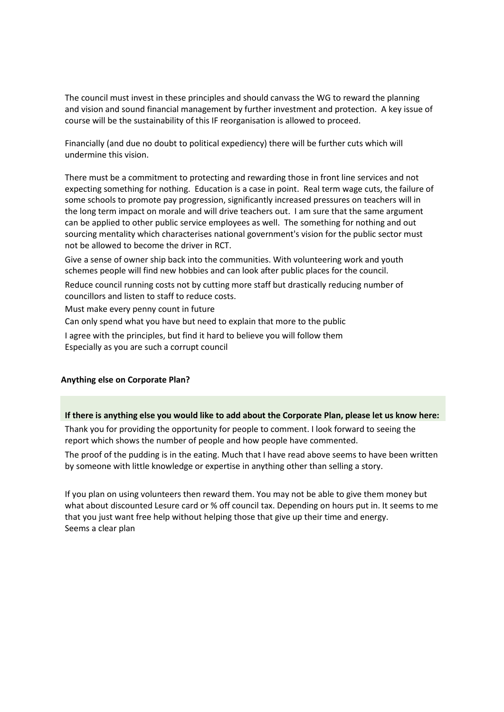The council must invest in these principles and should canvass the WG to reward the planning and vision and sound financial management by further investment and protection. A key issue of course will be the sustainability of this IF reorganisation is allowed to proceed.

Financially (and due no doubt to political expediency) there will be further cuts which will undermine this vision.

There must be a commitment to protecting and rewarding those in front line services and not expecting something for nothing. Education is a case in point. Real term wage cuts, the failure of some schools to promote pay progression, significantly increased pressures on teachers will in the long term impact on morale and will drive teachers out. I am sure that the same argument can be applied to other public service employees as well. The something for nothing and out sourcing mentality which characterises national government's vision for the public sector must not be allowed to become the driver in RCT.

Give a sense of owner ship back into the communities. With volunteering work and youth schemes people will find new hobbies and can look after public places for the council.

Reduce council running costs not by cutting more staff but drastically reducing number of councillors and listen to staff to reduce costs.

Must make every penny count in future

Can only spend what you have but need to explain that more to the public

I agree with the principles, but find it hard to believe you will follow them

Especially as you are such a corrupt council

### **Anything else on Corporate Plan?**

### **If there is anything else you would like to add about the Corporate Plan, please let us know here:**

Thank you for providing the opportunity for people to comment. I look forward to seeing the report which shows the number of people and how people have commented.

The proof of the pudding is in the eating. Much that I have read above seems to have been written by someone with little knowledge or expertise in anything other than selling a story.

If you plan on using volunteers then reward them. You may not be able to give them money but what about discounted Lesure card or % off council tax. Depending on hours put in. It seems to me that you just want free help without helping those that give up their time and energy. Seems a clear plan